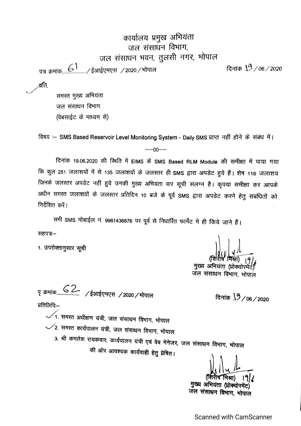कार्यालय प्रमुख अभियंता जल संसाधन विभाग,

जल संसाधन भवन, तुलसी नगर, भोपाल

पत्र क्रमांक <u>( ति , ) इ</u>आईएमएस / 2020 / भोपाल

दिनांक 19/06/2020

∙र्व्रति,

समस्त मुख्य अभियंता जल संसाधन विभाग (वेबसाईट के माध्यम से)

विषय :– SMS Based Reservoir Level Monitoring System - Daily SMS प्राप्त नहीं होने के संबंध में।  $- -00 - -$ 

दिनांक 19.06.2020 की स्थिति में EIMS के SMS Based RLM Module की समीक्षा में पाया गया कि कुल 251 जलाशयों में से 135 जलाशयों के जलस्तर ही SMS द्वारा अपडेट हुये हैं। शेष 116 जलाशय जिनके जलस्तर अपडेट नहीं हुये उनकी मुख्य अभियंता वार सूची संलग्न है। कृपया समीक्षा कर आपके अधीन समस्त जलाशयों के जलस्तर प्रतिदिन 10 बजे के पूर्व SMS द्वारा अपडेट करने हेतु संबंधितों को निर्देशित करें।

सभी SMS मोबाईल नं. 9981436676 पर पूर्व से निधारित फार्मेट में ही किये जाने हैं। सहपत्र:–

1. उपरोक्तानुसार सूची

मुख्य अभियंता

दिनांक 19/06/2020

जल संसाधन विभाग, भोपाल

पृ क्रमांक <u>52</u> /ईआईएमएस /2020/भोपाल प्रतिलिपि:—

 $1.$  समस्त अधीक्षण यंत्री, जल संसाधन विभाग, भोपाल

 $\swarrow$ 2. समस्त कार्यपालन यंत्री, जल संसाधन विभाग, भोपाल

3. श्री कमलेश रायकवार, कार्यपालन यंत्री एवं वेब मेनेजर, जल संसाधन विभाग, भोपाल की ओर आवश्यक कार्यवाही हेतु प्रेषित।

मुख्य अभियंता जल संसाधन विभाग, भोपाल

**Scanned with CamScanner**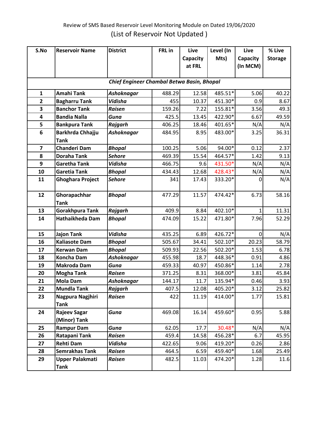## Review of SMS Based Reservoir Level Monitoring Module on Dated 19/06/2020 (List of Reservoir Not Updated )

| S.No                                       | <b>Reservoir Name</b>   | <b>District</b>   | FRL in | Live     | Level (In | Live           | % Live         |  |  |  |
|--------------------------------------------|-------------------------|-------------------|--------|----------|-----------|----------------|----------------|--|--|--|
|                                            |                         |                   |        | Capacity | Mts)      | Capacity       | <b>Storage</b> |  |  |  |
|                                            |                         |                   |        | at FRL   |           | (In MCM)       |                |  |  |  |
|                                            |                         |                   |        |          |           |                |                |  |  |  |
| Chief Engineer Chambal Betwa Basin, Bhopal |                         |                   |        |          |           |                |                |  |  |  |
| $\mathbf{1}$                               | <b>Amahi Tank</b>       | Ashoknagar        | 488.29 | 12.58    | 485.51*   | 5.06           | 40.22          |  |  |  |
| $\mathbf{2}$                               | <b>Bagharru Tank</b>    | Vidisha           | 455    | 10.37    | 451.30*   | 0.9            | 8.67           |  |  |  |
| $\overline{\mathbf{3}}$                    | <b>Banchor Tank</b>     | <b>Raisen</b>     | 159.26 | 7.22     | 155.81*   | 3.56           | 49.3           |  |  |  |
| $\overline{\mathbf{4}}$                    | <b>Bandia Nalla</b>     | Guna              | 425.5  | 13.45    | 422.90*   | 6.67           | 49.59          |  |  |  |
| 5                                          | <b>Bankpura Tank</b>    | Rajgarh           | 406.25 | 18.46    | 401.65*   | N/A            | N/A            |  |  |  |
| 6                                          | Barkhrda Chhajju        | <b>Ashoknagar</b> | 484.95 | 8.95     | 483.00*   | 3.25           | 36.31          |  |  |  |
|                                            | <b>Tank</b>             |                   |        |          |           |                |                |  |  |  |
| $\overline{\mathbf{z}}$                    | <b>Chanderi Dam</b>     | <b>Bhopal</b>     | 100.25 | 5.06     | 94.00*    | 0.12           | 2.37           |  |  |  |
| 8                                          | <b>Doraha Tank</b>      | <b>Sehore</b>     | 469.39 | 15.54    | 464.57*   | 1.42           | 9.13           |  |  |  |
| 9                                          | <b>Garetha Tank</b>     | <b>Vidisha</b>    | 466.75 | 9.6      | 431.50*   | N/A            | N/A            |  |  |  |
| 10                                         | <b>Garetia Tank</b>     | <b>Bhopal</b>     | 434.43 | 12.68    | 428.43*   | N/A            | N/A            |  |  |  |
| 11                                         | <b>Ghoghara Project</b> | <b>Sehore</b>     | 341    | 17.43    | 333.20*   | 0              | N/A            |  |  |  |
|                                            |                         |                   |        |          |           |                |                |  |  |  |
| 12                                         | Ghorapachhar            | <b>Bhopal</b>     | 477.29 | 11.57    | 474.42*   | 6.73           | 58.16          |  |  |  |
|                                            | <b>Tank</b>             |                   |        |          |           |                |                |  |  |  |
| 13                                         | <b>Gorakhpura Tank</b>  | Rajgarh           | 409.9  | 8.84     | 402.10*   | 1              | 11.31          |  |  |  |
| 14                                         | Hathaikheda Dam         | <b>Bhopal</b>     | 474.09 | 15.22    | 471.80*   | 7.96           | 52.29          |  |  |  |
|                                            |                         |                   |        |          |           |                |                |  |  |  |
| 15                                         | <b>Jajon Tank</b>       | Vidisha           | 435.25 | 6.89     | 426.72*   | $\overline{0}$ | N/A            |  |  |  |
| 16                                         | <b>Kaliasote Dam</b>    | <b>Bhopal</b>     | 505.67 | 34.41    | 502.10*   | 20.23          | 58.79          |  |  |  |
| 17                                         | <b>Kerwan Dam</b>       | <b>Bhopal</b>     | 509.93 | 22.56    | 502.20*   | 1.53           | 6.78           |  |  |  |
| 18                                         | <b>Koncha Dam</b>       | <b>Ashoknagar</b> | 455.98 | 18.7     | 448.36*   | 0.91           | 4.86           |  |  |  |
| 19                                         | <b>Makroda Dam</b>      | Guna              | 459.33 | 40.97    | 450.86*   | 1.14           | 2.78           |  |  |  |
| 20                                         | <b>Mogha Tank</b>       | <b>Raisen</b>     | 371.25 | 8.31     | 368.00*   | 3.81           | 45.84          |  |  |  |
| 21                                         | <b>Mola Dam</b>         | <b>Ashoknagar</b> | 144.17 | 11.7     | 135.94*   | 0.46           | 3.93           |  |  |  |
| 22                                         | <b>Mundla Tank</b>      | Rajgarh           | 407.5  | 12.08    | 405.20*   | 3.12           | 25.82          |  |  |  |
| 23                                         | Nagpura Nagjhiri        | <b>Raisen</b>     | 422    | 11.19    | 414.00*   | 1.77           | 15.81          |  |  |  |
|                                            | <b>Tank</b>             |                   |        |          |           |                |                |  |  |  |
| 24                                         | <b>Rajeev Sagar</b>     | Guna              | 469.08 | 16.14    | 459.60*   | 0.95           | 5.88           |  |  |  |
|                                            | (Minor) Tank            |                   |        |          |           |                |                |  |  |  |
| 25                                         | <b>Rampur Dam</b>       | Guna              | 62.05  | 17.7     | 30.48*    | N/A            | N/A            |  |  |  |
| 26                                         | Ratapani Tank           | <b>Raisen</b>     | 459.4  | 14.58    | 456.28*   | 6.7            | 45.95          |  |  |  |
| 27                                         | Rehti Dam               | Vidisha           | 422.65 | 9.06     | 419.20*   | 0.26           | 2.86           |  |  |  |
| 28                                         | Semrakhas Tank          | <b>Raisen</b>     | 464.5  | 6.59     | 459.40*   | 1.68           | 25.49          |  |  |  |
| 29                                         | <b>Upper Palakmati</b>  | Raisen            | 482.5  | 11.03    | 474.20*   | 1.28           | 11.6           |  |  |  |
|                                            | <b>Tank</b>             |                   |        |          |           |                |                |  |  |  |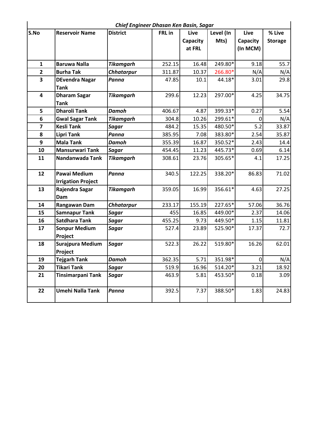|                         | Chief Engineer Dhasan Ken Basin, Sagar           |                   |        |          |           |                |                |  |  |  |  |
|-------------------------|--------------------------------------------------|-------------------|--------|----------|-----------|----------------|----------------|--|--|--|--|
| S.No                    | <b>Reservoir Name</b>                            | <b>District</b>   | FRL in | Live     | Level (In | Live           | % Live         |  |  |  |  |
|                         |                                                  |                   |        | Capacity | Mts)      | Capacity       | <b>Storage</b> |  |  |  |  |
|                         |                                                  |                   |        | at FRL   |           | (In MCM)       |                |  |  |  |  |
| $\mathbf{1}$            | <b>Baruwa Nalla</b>                              | <b>Tikamgarh</b>  | 252.15 | 16.48    | 249.80*   | 9.18           | 55.7           |  |  |  |  |
| $\mathbf{2}$            | <b>Burha Tak</b>                                 | <b>Chhatarpur</b> | 311.87 | 10.37    | 266.80*   | N/A            | N/A            |  |  |  |  |
| $\overline{\mathbf{3}}$ | <b>DEvendra Nagar</b><br><b>Tank</b>             | Panna             | 47.85  | 10.1     | 44.18*    | 3.01           | 29.8           |  |  |  |  |
| $\overline{\mathbf{4}}$ | <b>Dharam Sagar</b>                              | <b>Tikamgarh</b>  | 299.6  | 12.23    | 297.00*   | 4.25           | 34.75          |  |  |  |  |
| 5                       | <b>Tank</b><br><b>Dharoli Tank</b>               | <b>Damoh</b>      | 406.67 | 4.87     | 399.33*   | 0.27           | 5.54           |  |  |  |  |
| 6                       | <b>Gwal Sagar Tank</b>                           | <b>Tikamgarh</b>  | 304.8  | 10.26    | 299.61*   | $\overline{0}$ | N/A            |  |  |  |  |
| $\overline{\mathbf{z}}$ | <b>Kesli Tank</b>                                | <b>Sagar</b>      | 484.2  | 15.35    | 480.50*   | 5.2            | 33.87          |  |  |  |  |
| 8                       | <b>Lipri Tank</b>                                | Panna             | 385.95 | 7.08     | 383.80*   | 2.54           | 35.87          |  |  |  |  |
| 9                       | <b>Mala Tank</b>                                 | <b>Damoh</b>      | 355.39 | 16.87    | 350.52*   | 2.43           | 14.4           |  |  |  |  |
| 10                      | <b>Mansurwari Tank</b>                           | <b>Sagar</b>      | 454.45 | 11.23    | 445.73*   | 0.69           | 6.14           |  |  |  |  |
| 11                      | Nandanwada Tank                                  | <b>Tikamgarh</b>  | 308.61 | 23.76    | 305.65*   | 4.1            | 17.25          |  |  |  |  |
| 12                      | <b>Pawai Medium</b><br><b>Irrigation Project</b> | Panna             | 340.5  | 122.25   | 338.20*   | 86.83          | 71.02          |  |  |  |  |
| 13                      | Rajendra Sagar<br>Dam                            | <b>Tikamgarh</b>  | 359.05 | 16.99    | 356.61*   | 4.63           | 27.25          |  |  |  |  |
| 14                      | Rangawan Dam                                     | <b>Chhatarpur</b> | 233.17 | 155.19   | 227.65*   | 57.06          | 36.76          |  |  |  |  |
| 15                      | <b>Samnapur Tank</b>                             | <b>Sagar</b>      | 455    | 16.85    | 449.00*   | 2.37           | 14.06          |  |  |  |  |
| 16                      | <b>Satdhara Tank</b>                             | <b>Sagar</b>      | 455.25 | 9.73     | 449.50*   | 1.15           | 11.81          |  |  |  |  |
| 17                      | <b>Sonpur Medium</b><br>Project                  | <b>Sagar</b>      | 527.4  | 23.89    | 525.90*   | 17.37          | 72.7           |  |  |  |  |
| 18                      | Surajpura Medium<br>Project                      | <b>Sagar</b>      | 522.3  | 26.22    | 519.80*   | 16.26          | 62.01          |  |  |  |  |
| 19                      | <b>Tejgarh Tank</b>                              | <b>Damoh</b>      | 362.35 | 5.71     | 351.98*   | $\overline{0}$ | N/A            |  |  |  |  |
| 20                      | <b>Tikari Tank</b>                               | <b>Sagar</b>      | 519.9  | 16.96    | 514.20*   | 3.21           | 18.92          |  |  |  |  |
| 21                      | <b>Tinsimarpani Tank</b>                         | <b>Sagar</b>      | 463.9  | 5.81     | 453.50*   | 0.18           | 3.09           |  |  |  |  |
| 22                      | Umehi Nalla Tank                                 | Panna             | 392.5  | 7.37     | 388.50*   | 1.83           | 24.83          |  |  |  |  |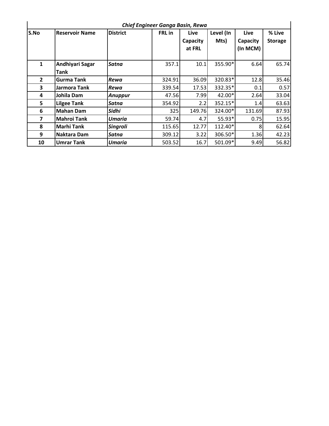|              | <b>Chief Engineer Ganga Basin, Rewa</b> |                 |               |                            |                   |                              |                          |  |  |  |  |  |
|--------------|-----------------------------------------|-----------------|---------------|----------------------------|-------------------|------------------------------|--------------------------|--|--|--|--|--|
| S.No         | <b>Reservoir Name</b>                   | <b>District</b> | <b>FRL</b> in | Live<br>Capacity<br>at FRL | Level (In<br>Mts) | Live<br>Capacity<br>(In MCM) | % Live<br><b>Storage</b> |  |  |  |  |  |
| $\mathbf{1}$ | Andhiyari Sagar<br><b>Tank</b>          | Satna           | 357.1         | 10.1                       | 355.90*           | 6.64                         | 65.74                    |  |  |  |  |  |
| $\mathbf{2}$ | <b>Gurma Tank</b>                       | Rewa            | 324.91        | 36.09                      | 320.83*           | 12.8                         | 35.46                    |  |  |  |  |  |
| 3            | Jarmora Tank                            | Rewa            | 339.54        | 17.53                      | 332.35*           | 0.1                          | 0.57                     |  |  |  |  |  |
| 4            | Johila Dam                              | Anuppur         | 47.56         | 7.99                       | $42.00*$          | 2.64                         | 33.04                    |  |  |  |  |  |
| 5            | <b>Lilgee Tank</b>                      | Satna           | 354.92        | 2.2                        | 352.15*           | 1.4                          | 63.63                    |  |  |  |  |  |
| 6            | Mahan Dam                               | Sidhi           | 325           | 149.76                     | 324.00*           | 131.69                       | 87.93                    |  |  |  |  |  |
| 7            | <b>Mahroi Tank</b>                      | Umaria          | 59.74         | 4.7                        | 55.93*            | 0.75                         | 15.95                    |  |  |  |  |  |
| 8            | <b>Marhi Tank</b>                       | Singroli        | 115.65        | 12.77                      | 112.40*           | 8                            | 62.64                    |  |  |  |  |  |
| 9            | Naktara Dam                             | Satna           | 309.12        | 3.22                       | 306.50*           | 1.36                         | 42.23                    |  |  |  |  |  |
| 10           | <b>Umrar Tank</b>                       | Umaria          | 503.52        | 16.7                       | 501.09*           | 9.49                         | 56.82                    |  |  |  |  |  |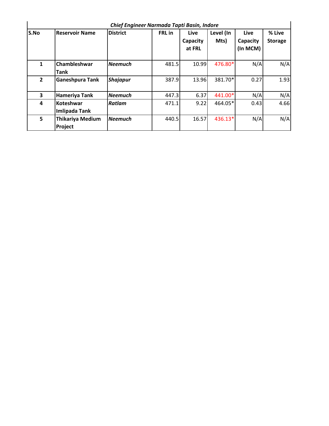|              | Chief Engineer Narmada Tapti Basin, Indore |                 |               |                                   |                   |                              |                          |  |  |  |  |  |
|--------------|--------------------------------------------|-----------------|---------------|-----------------------------------|-------------------|------------------------------|--------------------------|--|--|--|--|--|
| S.No         | <b>Reservoir Name</b>                      | <b>District</b> | <b>FRL</b> in | <b>Live</b><br>Capacity<br>at FRL | Level (In<br>Mts) | Live<br>Capacity<br>(In MCM) | % Live<br><b>Storage</b> |  |  |  |  |  |
| $\mathbf{1}$ | Chambleshwar<br>Tank                       | <b>Neemuch</b>  | 481.5         | 10.99                             | 476.80*           | N/A                          | N/A                      |  |  |  |  |  |
| $\mathbf{2}$ | <b>Ganeshpura Tank</b>                     | <b>Shajapur</b> | 387.9         | 13.96                             | 381.70*           | 0.27                         | 1.93                     |  |  |  |  |  |
| 3            | Hameriya Tank                              | <b>Neemuch</b>  | 447.3         | 6.37                              | 441.00*           | N/A                          | N/A                      |  |  |  |  |  |
| 4            | Koteshwar<br>Imlipada Tank                 | Ratlam          | 471.1         | 9.22                              | 464.05*           | 0.43                         | 4.66                     |  |  |  |  |  |
| 5            | <b>Thikariya Medium</b><br>Project         | l Neemuch       | 440.5         | 16.57                             | 436.13*           | N/A                          | N/A                      |  |  |  |  |  |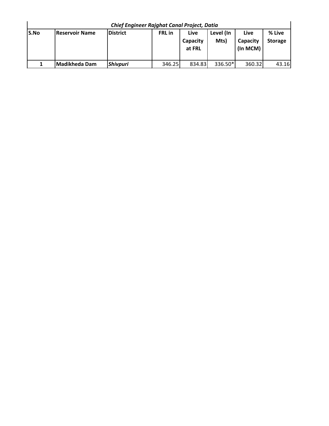| <b>Chief Engineer Rajghat Canal Project, Datia</b> |                       |                  |               |          |           |          |                |  |  |  |  |
|----------------------------------------------------|-----------------------|------------------|---------------|----------|-----------|----------|----------------|--|--|--|--|
| lS.No                                              | <b>Reservoir Name</b> | <b>IDistrict</b> | <b>FRL</b> in | Live     | Level (In | Live     | % Live         |  |  |  |  |
|                                                    |                       |                  |               | Capacity | Mts)      | Capacity | <b>Storage</b> |  |  |  |  |
|                                                    |                       |                  |               | at FRL   |           | (In MCM) |                |  |  |  |  |
|                                                    |                       |                  |               |          |           |          |                |  |  |  |  |
|                                                    | Madikheda Dam         | <b>Shivpuri</b>  | 346.25        | 834.83   | 336.50*   | 360.32   | 43.16          |  |  |  |  |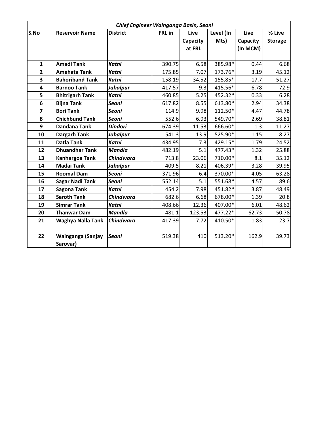| Chief Engineer Wainganga Basin, Seoni |                        |                  |        |          |           |          |                |  |  |
|---------------------------------------|------------------------|------------------|--------|----------|-----------|----------|----------------|--|--|
| S.No                                  | <b>Reservoir Name</b>  | <b>District</b>  | FRL in | Live     | Level (In | Live     | % Live         |  |  |
|                                       |                        |                  |        | Capacity | Mts)      | Capacity | <b>Storage</b> |  |  |
|                                       |                        |                  |        | at FRL   |           | (In MCM) |                |  |  |
|                                       |                        |                  |        |          |           |          |                |  |  |
| $\mathbf{1}$                          | <b>Amadi Tank</b>      | <b>Katni</b>     | 390.75 | 6.58     | 385.98*   | 0.44     | 6.68           |  |  |
| $\overline{2}$                        | <b>Amehata Tank</b>    | <b>Katni</b>     | 175.85 | 7.07     | 173.76*   | 3.19     | 45.12          |  |  |
| $\overline{\mathbf{3}}$               | <b>Bahoriband Tank</b> | <b>Katni</b>     | 158.19 | 34.52    | 155.85*   | 17.7     | 51.27          |  |  |
| 4                                     | <b>Barnoo Tank</b>     | <b>Jabalpur</b>  | 417.57 | 9.3      | 415.56*   | 6.78     | 72.9           |  |  |
| 5                                     | <b>Bhitrigarh Tank</b> | <b>Katni</b>     | 460.85 | 5.25     | 452.32*   | 0.33     | 6.28           |  |  |
| 6                                     | <b>Bijna Tank</b>      | <b>Seoni</b>     | 617.82 | 8.55     | 613.80*   | 2.94     | 34.38          |  |  |
| $\overline{\mathbf{z}}$               | <b>Bori Tank</b>       | <b>Seoni</b>     | 114.9  | 9.98     | 112.50*   | 4.47     | 44.78          |  |  |
| 8                                     | <b>Chichbund Tank</b>  | Seoni            | 552.6  | 6.93     | 549.70*   | 2.69     | 38.81          |  |  |
| 9                                     | <b>Dandana Tank</b>    | <b>Dindori</b>   | 674.39 | 11.53    | 666.60*   | 1.3      | 11.27          |  |  |
| 10                                    | <b>Dargarh Tank</b>    | <b>Jabalpur</b>  | 541.3  | 13.9     | 525.90*   | 1.15     | 8.27           |  |  |
| 11                                    | <b>Datla Tank</b>      | <b>Katni</b>     | 434.95 | 7.3      | 429.15*   | 1.79     | 24.52          |  |  |
| 12                                    | <b>Dhuandhar Tank</b>  | <b>Mandla</b>    | 482.19 | 5.1      | 477.43*   | 1.32     | 25.88          |  |  |
| 13                                    | Kanhargoa Tank         | Chindwara        | 713.8  | 23.06    | 710.00*   | 8.1      | 35.12          |  |  |
| 14                                    | <b>Madai Tank</b>      | <b>Jabalpur</b>  | 409.5  | 8.21     | 406.39*   | 3.28     | 39.95          |  |  |
| 15                                    | <b>Roomal Dam</b>      | <b>Seoni</b>     | 371.96 | 6.4      | 370.00*   | 4.05     | 63.28          |  |  |
| 16                                    | <b>Sagar Nadi Tank</b> | <b>Seoni</b>     | 552.14 | 5.1      | 551.68*   | 4.57     | 89.6           |  |  |
| 17                                    | <b>Sagona Tank</b>     | <b>Katni</b>     | 454.2  | 7.98     | 451.82*   | 3.87     | 48.49          |  |  |
| 18                                    | <b>Saroth Tank</b>     | <b>Chindwara</b> | 682.6  | 6.68     | 678.00*   | 1.39     | 20.8           |  |  |
| 19                                    | <b>Simrar Tank</b>     | <b>Katni</b>     | 408.66 | 12.36    | 407.00*   | 6.01     | 48.62          |  |  |
| 20                                    | <b>Thanwar Dam</b>     | <b>Mandla</b>    | 481.1  | 123.53   | 477.22*   | 62.73    | 50.78          |  |  |
| 21                                    | Waghya Nalla Tank      | Chindwara        | 417.39 | 7.72     | 410.50*   | 1.83     | 23.7           |  |  |
|                                       |                        |                  |        |          |           |          |                |  |  |
| 22                                    | Wainganga (Sanjay      | <b>Seoni</b>     | 519.38 | 410      | 513.20*   | 162.9    | 39.73          |  |  |
|                                       | Sarovar)               |                  |        |          |           |          |                |  |  |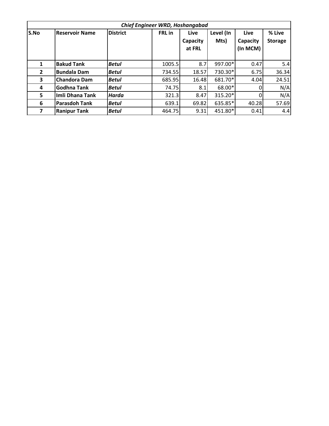|              | Chief Engineer WRD, Hoshangabad |                 |               |                            |                   |                              |                          |  |  |  |  |  |  |
|--------------|---------------------------------|-----------------|---------------|----------------------------|-------------------|------------------------------|--------------------------|--|--|--|--|--|--|
| S.No         | <b>Reservoir Name</b>           | <b>District</b> | <b>FRL</b> in | Live<br>Capacity<br>at FRL | Level (In<br>Mts) | Live<br>Capacity<br>(In MCM) | % Live<br><b>Storage</b> |  |  |  |  |  |  |
| 1            | <b>Bakud Tank</b>               | <b>Betul</b>    | 1005.5        | 8.7                        | 997.00*           | 0.47                         | 5.4                      |  |  |  |  |  |  |
| $\mathbf{2}$ | <b>Bundala Dam</b>              | <b>Betul</b>    | 734.55        | 18.57                      | 730.30*           | 6.75                         | 36.34                    |  |  |  |  |  |  |
| 3            | <b>Chandora Dam</b>             | <b>Betul</b>    | 685.95        | 16.48                      | 681.70*           | 4.04                         | 24.51                    |  |  |  |  |  |  |
| 4            | <b>Godhna Tank</b>              | <b>Betul</b>    | 74.75         | 8.1                        | 68.00*            |                              | N/A                      |  |  |  |  |  |  |
| 5            | Imli Dhana Tank                 | Harda           | 321.3         | 8.47                       | 315.20*           |                              | N/A                      |  |  |  |  |  |  |
| 6            | <b>Parasdoh Tank</b>            | <b>Betul</b>    | 639.1         | 69.82                      | 635.85*           | 40.28                        | 57.69                    |  |  |  |  |  |  |
| 7            | <b>Ranipur Tank</b>             | <b>Betul</b>    | 464.75        | 9.31                       | 451.80*           | 0.41                         | 4.4                      |  |  |  |  |  |  |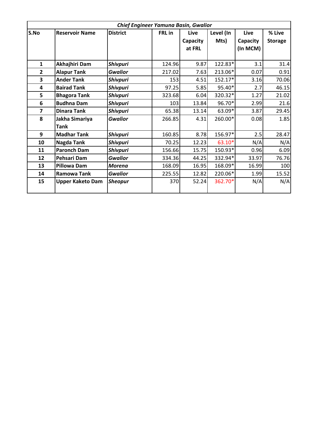|                | Chief Engineer Yamuna Basin, Gwalior |                 |        |             |             |          |                |  |  |  |  |
|----------------|--------------------------------------|-----------------|--------|-------------|-------------|----------|----------------|--|--|--|--|
| S.No           | <b>Reservoir Name</b>                | <b>District</b> | FRL in | <b>Live</b> | <b>Live</b> | % Live   |                |  |  |  |  |
|                |                                      |                 |        | Capacity    | Mts)        | Capacity | <b>Storage</b> |  |  |  |  |
|                |                                      |                 |        | at FRL      |             | (In MCM) |                |  |  |  |  |
|                |                                      |                 |        |             |             |          |                |  |  |  |  |
| $\mathbf{1}$   | Akhajhiri Dam                        | Shivpuri        | 124.96 | 9.87        | 122.83*     | 3.1      | 31.4           |  |  |  |  |
| $\overline{2}$ | <b>Alapur Tank</b>                   | <b>Gwalior</b>  | 217.02 | 7.63        | 213.06*     | 0.07     | 0.91           |  |  |  |  |
| 3              | <b>Ander Tank</b>                    | <b>Shivpuri</b> | 153    | 4.51        | 152.17*     | 3.16     | 70.06          |  |  |  |  |
| 4              | <b>Bairad Tank</b>                   | Shivpuri        | 97.25  | 5.85        | 95.40*      | 2.7      | 46.15          |  |  |  |  |
| 5              | <b>Bhagora Tank</b>                  | <b>Shivpuri</b> | 323.68 | 6.04        | 320.32*     | 1.27     | 21.02          |  |  |  |  |
| 6              | <b>Budhna Dam</b>                    | <b>Shivpuri</b> | 103    | 13.84       | 96.70*      | 2.99     | 21.6           |  |  |  |  |
| $\overline{7}$ | <b>Dinara Tank</b>                   | <b>Shivpuri</b> | 65.38  | 13.14       | 63.09*      | 3.87     | 29.45          |  |  |  |  |
| 8              | Jakha Simariya                       | <b>Gwalior</b>  | 266.85 | 4.31        | 260.00*     | 0.08     | 1.85           |  |  |  |  |
|                | <b>Tank</b>                          |                 |        |             |             |          |                |  |  |  |  |
| 9              | <b>Madhar Tank</b>                   | <b>Shivpuri</b> | 160.85 | 8.78        | 156.97*     | 2.5      | 28.47          |  |  |  |  |
| 10             | Nagda Tank                           | <b>Shivpuri</b> | 70.25  | 12.23       | 63.10*      | N/A      | N/A            |  |  |  |  |
| 11             | <b>Paronch Dam</b>                   | <b>Shivpuri</b> | 156.66 | 15.75       | 150.93*     | 0.96     | 6.09           |  |  |  |  |
| 12             | Pehsari Dam                          | <b>Gwalior</b>  | 334.36 | 44.25       | 332.94*     | 33.97    | 76.76          |  |  |  |  |
| 13             | <b>Pillowa Dam</b>                   | <b>Morena</b>   | 168.09 | 16.95       | 168.09*     | 16.99    | 100            |  |  |  |  |
| 14             | <b>Ramowa Tank</b>                   | <b>Gwalior</b>  | 225.55 | 12.82       | 220.06*     | 1.99     | 15.52          |  |  |  |  |
| 15             | <b>Upper Kaketo Dam</b>              | <b>Sheopur</b>  | 370    | 52.24       | 362.70*     | N/A      | N/A            |  |  |  |  |
|                |                                      |                 |        |             |             |          |                |  |  |  |  |